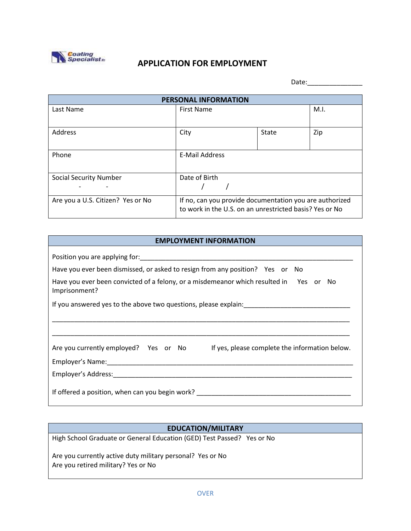

## **APPLICATION FOR EMPLOYMENT**

Date:\_\_\_\_\_\_\_\_\_\_\_\_\_\_\_

| <b>PERSONAL INFORMATION</b>       |                                                         |       |      |  |
|-----------------------------------|---------------------------------------------------------|-------|------|--|
| Last Name                         | <b>First Name</b>                                       |       | M.I. |  |
|                                   |                                                         |       |      |  |
| Address                           | City                                                    | State | Zip  |  |
|                                   |                                                         |       |      |  |
| Phone                             | E-Mail Address                                          |       |      |  |
|                                   |                                                         |       |      |  |
| <b>Social Security Number</b>     | Date of Birth                                           |       |      |  |
|                                   |                                                         |       |      |  |
| Are you a U.S. Citizen? Yes or No | If no, can you provide documentation you are authorized |       |      |  |
|                                   | to work in the U.S. on an unrestricted basis? Yes or No |       |      |  |

## **EMPLOYMENT INFORMATION**

Position you are applying for:\_\_\_\_\_\_\_\_\_\_\_\_\_\_\_\_\_\_\_\_\_\_\_\_\_\_\_\_\_\_\_\_\_\_\_\_\_\_\_\_\_\_\_\_\_\_\_\_\_\_\_\_\_\_\_\_\_\_

| Have you ever been dismissed, or asked to resign from any position? Yes or No          |  |  |  |
|----------------------------------------------------------------------------------------|--|--|--|
| Have you ever been convicted of a felony, or a misdemeanor which resulted in Yes or No |  |  |  |

Imprisonment?

If you answered yes to the above two questions, please explain:\_\_\_\_\_\_\_\_\_\_\_\_\_\_\_\_\_\_\_\_\_\_\_\_\_\_\_\_\_

| Are you currently employed? Yes or No   | If yes, please complete the information below. |
|-----------------------------------------|------------------------------------------------|
| Employer's Name:                        |                                                |
| Employer's Address: Employer's Address: |                                                |

## **EDUCATION/MILITARY**

High School Graduate or General Education (GED) Test Passed? Yes or No

Are you currently active duty military personal? Yes or No Are you retired military? Yes or No